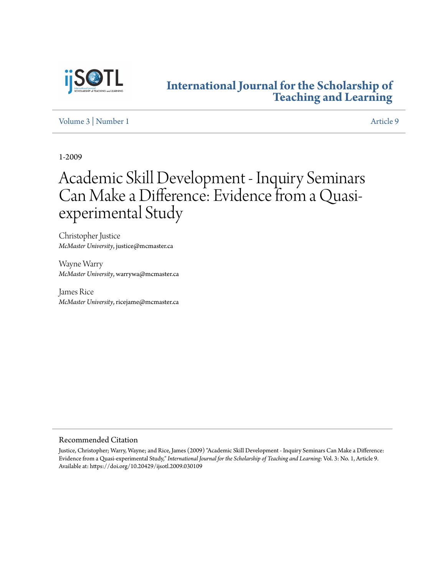

## **[International Journal for the Scholarship of](https://digitalcommons.georgiasouthern.edu/ij-sotl?utm_source=digitalcommons.georgiasouthern.edu%2Fij-sotl%2Fvol3%2Fiss1%2F9&utm_medium=PDF&utm_campaign=PDFCoverPages) [Teaching and Learning](https://digitalcommons.georgiasouthern.edu/ij-sotl?utm_source=digitalcommons.georgiasouthern.edu%2Fij-sotl%2Fvol3%2Fiss1%2F9&utm_medium=PDF&utm_campaign=PDFCoverPages)**

[Volume 3](https://digitalcommons.georgiasouthern.edu/ij-sotl/vol3?utm_source=digitalcommons.georgiasouthern.edu%2Fij-sotl%2Fvol3%2Fiss1%2F9&utm_medium=PDF&utm_campaign=PDFCoverPages) | [Number 1](https://digitalcommons.georgiasouthern.edu/ij-sotl/vol3/iss1?utm_source=digitalcommons.georgiasouthern.edu%2Fij-sotl%2Fvol3%2Fiss1%2F9&utm_medium=PDF&utm_campaign=PDFCoverPages) [Article 9](https://digitalcommons.georgiasouthern.edu/ij-sotl/vol3/iss1/9?utm_source=digitalcommons.georgiasouthern.edu%2Fij-sotl%2Fvol3%2Fiss1%2F9&utm_medium=PDF&utm_campaign=PDFCoverPages)

1-2009

# Academic Skill Development - Inquiry Seminars Can Make a Difference: Evidence from a Quasiexperimental Study

Christopher Justice *McMaster University*, justice@mcmaster.ca

Wayne Warry *McMaster University*, warrywa@mcmaster.ca

James Rice *McMaster University*, ricejame@mcmaster.ca

## Recommended Citation

Justice, Christopher; Warry, Wayne; and Rice, James (2009) "Academic Skill Development - Inquiry Seminars Can Make a Difference: Evidence from a Quasi-experimental Study," *International Journal for the Scholarship of Teaching and Learning*: Vol. 3: No. 1, Article 9. Available at: https://doi.org/10.20429/ijsotl.2009.030109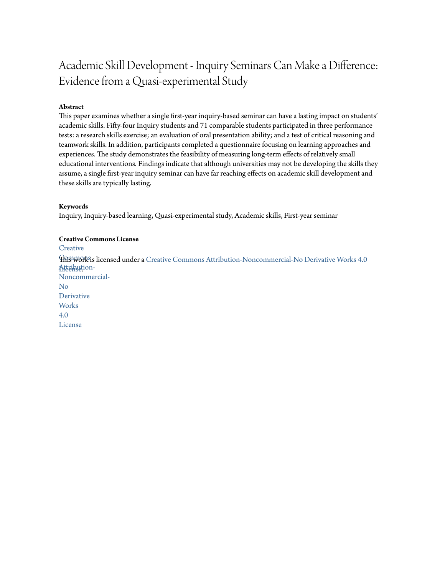## Academic Skill Development - Inquiry Seminars Can Make a Difference: Evidence from a Quasi-experimental Study

## **Abstract**

This paper examines whether a single first-year inquiry-based seminar can have a lasting impact on students' academic skills. Fifty-four Inquiry students and 71 comparable students participated in three performance tests: a research skills exercise; an evaluation of oral presentation ability; and a test of critical reasoning and teamwork skills. In addition, participants completed a questionnaire focusing on learning approaches and experiences. The study demonstrates the feasibility of measuring long-term effects of relatively small educational interventions. Findings indicate that although universities may not be developing the skills they assume, a single first-year inquiry seminar can have far reaching effects on academic skill development and these skills are typically lasting.

#### **Keywords**

Inquiry, Inquiry-based learning, Quasi-experimental study, Academic skills, First-year seminar

#### **Creative Commons License**

**[Creative](https://creativecommons.org/licenses/by-nc-nd/4.0/)** 

**This work is licensed under a** [Creative Commons Attribution-Noncommercial-No Derivative Works 4.0](https://creativecommons.org/licenses/by-nc-nd/4.0/) Atternution-Noncommercial-No Derivative **Works** 4.0 License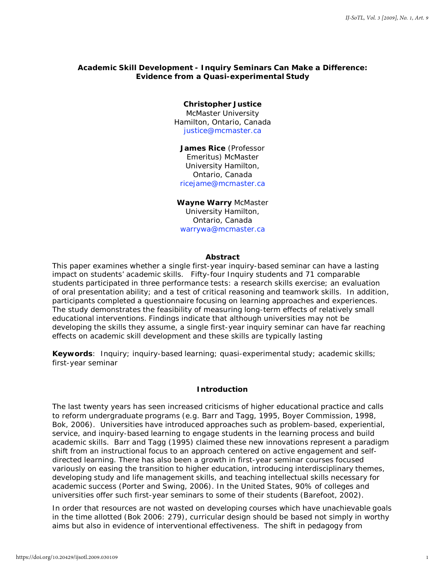## **Academic Skill Development - Inquiry Seminars Can Make a Difference: Evidence from a Quasi-experimental Study**

## **Christopher Justice**

McMaster University Hamilton, Ontario, Canada [justice@mcmaster.ca](mailto:justice@mcmaster.ca)

## **James Rice** (Professor Emeritus) McMaster University Hamilton, Ontario, Canada [ricejame@mcmaster.ca](mailto:ricejame@mcmaster.ca)

## **Wayne Warry** McMaster

University Hamilton, Ontario, Canada [warrywa@mcmaster.ca](mailto:warrywa@mcmaster.ca)

## **Abstract**

This paper examines whether a single first-year inquiry-based seminar can have a lasting impact on students' academic skills. Fifty-four Inquiry students and 71 comparable students participated in three performance tests: a research skills exercise; an evaluation of oral presentation ability; and a test of critical reasoning and teamwork skills. In addition, participants completed a questionnaire focusing on learning approaches and experiences. The study demonstrates the feasibility of measuring long-term effects of relatively small educational interventions. Findings indicate that although universities may not be developing the skills they assume, a single first-year inquiry seminar can have far reaching effects on academic skill development and these skills are typically lasting

**Keywords**: Inquiry; inquiry-based learning; quasi-experimental study; academic skills; first-year seminar

## **Introduction**

The last twenty years has seen increased criticisms of higher educational practice and calls to reform undergraduate programs (e.g. Barr and Tagg, 1995, Boyer Commission, 1998, Bok, 2006). Universities have introduced approaches such as problem-based, experiential, service, and inquiry-based learning to engage students in the learning process and build academic skills. Barr and Tagg (1995) claimed these new innovations represent a paradigm shift from an instructional focus to an approach centered on active engagement and selfdirected learning. There has also been a growth in first-year *seminar* courses focused variously on easing the transition to higher education, introducing interdisciplinary themes, developing study and life management skills, and teaching intellectual skills necessary for academic success (Porter and Swing, 2006). In the United States, 90% of colleges and universities offer such first-year seminars to some of their students (Barefoot, 2002).

In order that resources are not wasted on developing courses which have unachievable goals in the time allotted (Bok 2006: 279), curricular design should be based not simply in worthy aims but also in evidence of interventional effectiveness. The shift in pedagogy from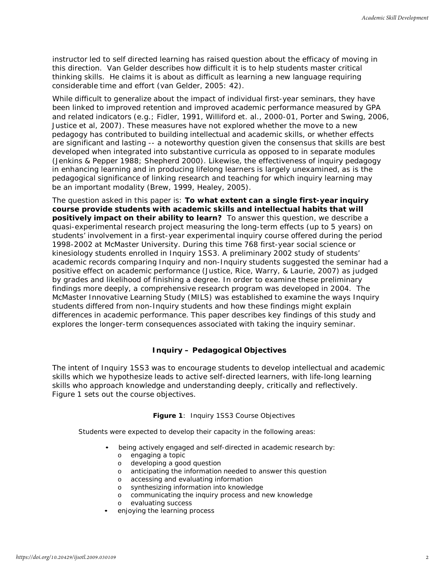instructor led to self directed learning has raised question about the efficacy of moving in this direction. Van Gelder describes how difficult it is to help students master critical thinking skills. He claims it is about as difficult as learning a new language requiring considerable time and effort (van Gelder, 2005: 42).

While difficult to generalize about the impact of individual first-year seminars, they have been linked to improved retention and improved academic performance measured by GPA and related indicators (e.g.; Fidler, 1991, Williford et. al., 2000-01, Porter and Swing, 2006, Justice et al, 2007). These measures have not explored whether the move to a new pedagogy has contributed to building intellectual and academic skills, or whether effects are significant and lasting -- a noteworthy question given the consensus that skills are best developed when integrated into substantive curricula as opposed to in separate modules (Jenkins & Pepper 1988; Shepherd 2000). Likewise, the effectiveness of inquiry pedagogy in enhancing learning and in producing lifelong learners is largely unexamined, as is the pedagogical significance of linking research and teaching for which inquiry learning may be an important modality (Brew, 1999, Healey, 2005).

The question asked in this paper is: **To what extent can a single first-year inquiry course provide students with academic skills and intellectual habits that will positively impact on their ability to learn?** To answer this question, we describe a quasi-experimental research project measuring the long-term effects (up to 5 years) on students' involvement in a first-year experimental inquiry course offered during the period 1998-2002 at McMaster University. During this time 768 first-year social science or kinesiology students enrolled in Inquiry 1SS3. A preliminary 2002 study of students' academic records comparing Inquiry and non-Inquiry students suggested the seminar had a positive effect on academic performance (Justice, Rice, Warry, & Laurie, 2007) as judged by grades and likelihood of finishing a degree. In order to examine these preliminary findings more deeply, a comprehensive research program was developed in 2004. The McMaster Innovative Learning Study (MILS) was established to examine the ways Inquiry students differed from non-Inquiry students and how these findings might explain differences in academic performance. This paper describes key findings of this study and explores the longer-term consequences associated with taking the inquiry seminar.

## **Inquiry – Pedagogical Objectives**

The intent of Inquiry 1SS3 was to encourage students to develop intellectual and academic skills which we hypothesize leads to active self-directed learners, with life-long learning skills who approach knowledge and understanding deeply, critically and reflectively. Figure 1 sets out the course objectives.

## **Figure 1**: Inquiry 1SS3 Course Objectives

Students were expected to develop their capacity in the following areas:

- being actively engaged and self-directed in academic research by:
	- o engaging a topic
	- o developing a good question
	- o anticipating the information needed to answer this question
	- o accessing and evaluating information
	- o synthesizing information into knowledge
	- o communicating the inquiry process and new knowledge
	- evaluating success
- enjoying the learning process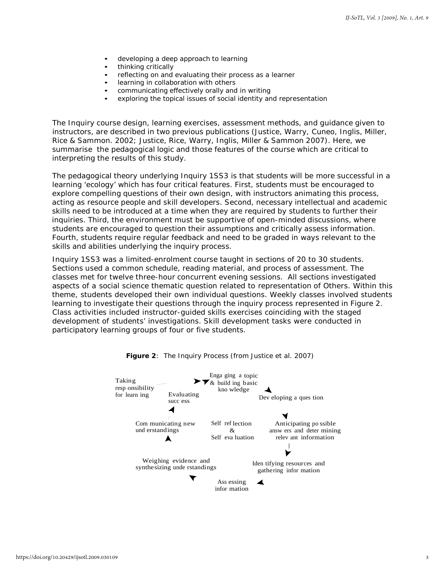- developing a deep approach to learning
- thinking critically
- reflecting on and evaluating their process as a learner
- learning in collaboration with others
- communicating effectively orally and in writing
- exploring the topical issues of social identity and representation

The Inquiry course design, learning exercises, assessment methods, and guidance given to instructors, are described in two previous publications (Justice, Warry, Cuneo, Inglis, Miller, Rice & Sammon. 2002; Justice, Rice, Warry, Inglis, Miller & Sammon 2007). Here, we summarise the pedagogical logic and those features of the course which are critical to interpreting the results of this study.

The pedagogical theory underlying Inquiry 1SS3 is that students will be more successful in a learning 'ecology' which has four critical features. First, students must be encouraged to explore compelling questions of their own design, with instructors animating this process, acting as resource people and skill developers. Second, necessary intellectual and academic skills need to be introduced at a time when they are required by students to further their inquiries. Third, the environment must be supportive of open-minded discussions, where students are encouraged to question their assumptions and critically assess information. Fourth, students require regular feedback and need to be graded in ways relevant to the skills and abilities underlying the inquiry process.

Inquiry 1SS3 was a limited-enrolment course taught in sections of 20 to 30 students. Sections used a common schedule, reading material, and process of assessment. The classes met for twelve three-hour concurrent evening sessions. All sections investigated aspects of a social science thematic question related to representation of Others. Within this theme, students developed their own individual questions. Weekly classes involved students learning to investigate their questions through the inquiry process represented in Figure 2. Class activities included instructor-guided skills exercises coinciding with the staged development of students' investigations. Skill development tasks were conducted in participatory learning groups of four or five students.



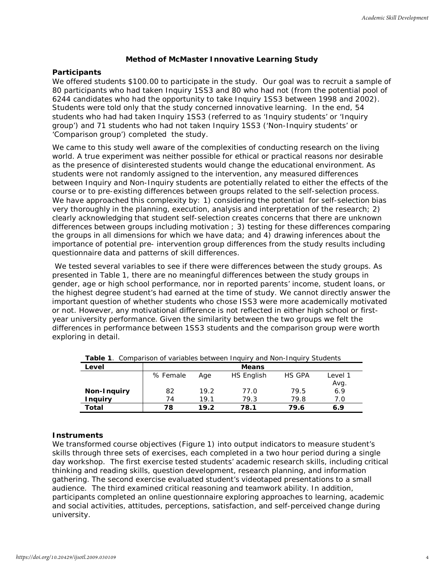## **Method of McMaster Innovative Learning Study**

## **Participants**

We offered students \$100.00 to participate in the study. Our goal was to recruit a sample of 80 participants who had taken Inquiry 1SS3 and 80 who had not (from the potential pool of 6244 candidates who had the opportunity to take Inquiry 1SS3 between 1998 and 2002). Students were told only that the study concerned innovative learning. In the end, 54 students who had had taken Inquiry 1SS3 (referred to as 'Inquiry students' or 'Inquiry group') and 71 students who had not taken Inquiry 1SS3 ('Non-Inquiry students' or 'Comparison group') completed the study.

We came to this study well aware of the complexities of conducting research on the living world. A true experiment was neither possible for ethical or practical reasons nor desirable as the presence of disinterested students would change the educational environment. As students were not randomly assigned to the intervention, any measured differences between Inquiry and Non-Inquiry students are potentially related to either the effects of the course or to pre-existing differences between groups related to the self-selection process. We have approached this complexity by: 1) considering the potential for self-selection bias very thoroughly in the planning, execution, analysis and interpretation of the research; 2) clearly acknowledging that student self-selection creates concerns that there are unknown differences between groups including motivation ; 3) testing for these differences comparing the groups in all dimensions for which we have data; and 4) drawing inferences about the importance of potential pre- intervention group differences from the study results including questionnaire data and patterns of skill differences.

We tested several variables to see if there were differences between the study groups. As presented in Table 1, there are no meaningful differences between the study groups in gender, age or high school performance, nor in reported parents' income, student loans, or the highest degree student's had earned at the time of study. We cannot directly answer the important question of whether students who chose ISS3 were more academically motivated or not. However, any motivational difference is not reflected in either high school or firstyear university performance. Given the similarity between the two groups we felt the differences in performance between 1SS3 students and the comparison group were worth exploring in detail.

| Level          |          |      | <b>Means</b> |        |         |
|----------------|----------|------|--------------|--------|---------|
|                | % Female | Age  | HS English   | HS GPA | Level 1 |
|                |          |      |              |        | Avg.    |
| Non-Inquiry    | 82       | 19.2 | 77.0         | 79.5   | 6.9     |
| <b>Inquiry</b> | 74       | 19.1 | 79.3         | 79.8   | 7.0     |
| Total          | 78       | 19.2 | 78.1         | 79.6   | 6.9     |

**Table 1**. Comparison of variables between Inquiry and Non-Inquiry Students

## **Instruments**

We transformed course objectives (Figure 1) into output indicators to measure student's skills through three sets of exercises, each completed in a two hour period during a single day workshop. The first exercise tested students' academic research skills, including critical thinking and reading skills, question development, research planning, and information gathering. The second exercise evaluated student's videotaped presentations to a small audience. The third examined critical reasoning and teamwork ability. In addition, participants completed an online questionnaire exploring approaches to learning, academic and social activities, attitudes, perceptions, satisfaction, and self-perceived change during university.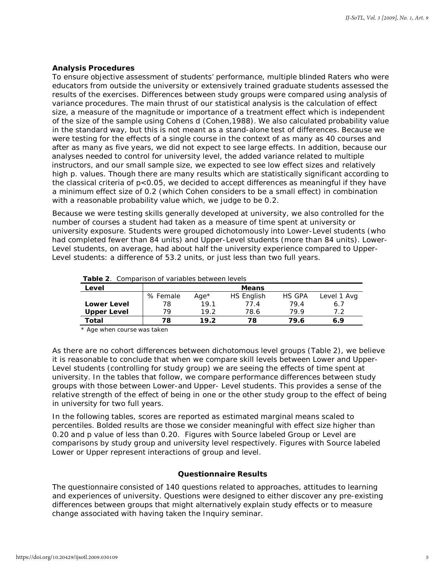## **Analysis Procedures**

To ensure objective assessment of students' performance, multiple blinded Raters who were educators from outside the university or extensively trained graduate students assessed the results of the exercises. Differences between study groups were compared using analysis of variance procedures. The main thrust of our statistical analysis is the calculation of effect size, a measure of the magnitude or importance of a treatment effect which is independent of the size of the sample using Cohens d (Cohen,1988). We also calculated probability value in the standard way, but this is not meant as a stand-alone test of differences. Because we were testing for the effects of a single course in the context of as many as 40 courses and after as many as five years, we did not expect to see large effects. In addition, because our analyses needed to control for university level, the added variance related to multiple instructors, and our small sample size, we expected to see low effect sizes and relatively high p. values. Though there are many results which are statistically significant according to the classical criteria of p<0.05, we decided to accept differences as *meaningful* if they have a minimum effect size of 0.2 (which Cohen considers to be a small effect) in combination with a reasonable probability value which, we judge to be 0.2.

Because we were testing skills generally developed at university, we also controlled for the number of courses a student had taken as a measure of time spent at university or university exposure. Students were grouped dichotomously into Lower-Level students (who had completed fewer than 84 units) and Upper-Level students (more than 84 units). Lower-Level students, on average, had about half the university experience compared to Upper-Level students: a difference of 53.2 units, or just less than two full years.

| <b>Table 2.</b> Comparison of variables between levels |  |  |
|--------------------------------------------------------|--|--|
|--------------------------------------------------------|--|--|

| Level              |          |         | <b>Means</b> |               |             |
|--------------------|----------|---------|--------------|---------------|-------------|
|                    | % Female | Aae $*$ | HS English   | <b>HS GPA</b> | Level 1 Avg |
| <b>Lower Level</b> | 78       | 19.1    | 77.4         | 79.4          | 6.7         |
| <b>Upper Level</b> | 79       | 19.2    | 78.6         | 799           | ר ד         |
| Total              | 78       | 19.2    | 78           | 79.6          | 6.9         |

\* Age when course was taken

As there are no cohort differences between dichotomous level groups (Table 2), we believe it is reasonable to conclude that when we compare skill levels between Lower and Upper-Level students (controlling for study group) we are seeing the effects of time spent at university. In the tables that follow, we compare performance differences between study groups with those between Lower-and Upper- Level students. This provides a sense of the relative strength of the effect of being in one or the other study group to the effect of being in university for two full years.

In the following tables, scores are reported as estimated marginal means scaled to percentiles. Bolded results are those we consider meaningful with effect size higher than 0.20 and p value of less than 0.20. Figures with Source labeled Group or Level are comparisons by study group and university level respectively. Figures with Source labeled Lower or Upper represent interactions of group and level.

#### **Questionnaire Results**

The questionnaire consisted of 140 questions related to approaches, attitudes to learning and experiences of university. Questions were designed to either discover any pre-existing differences between groups that might alternatively explain study effects or to measure change associated with having taken the Inquiry seminar.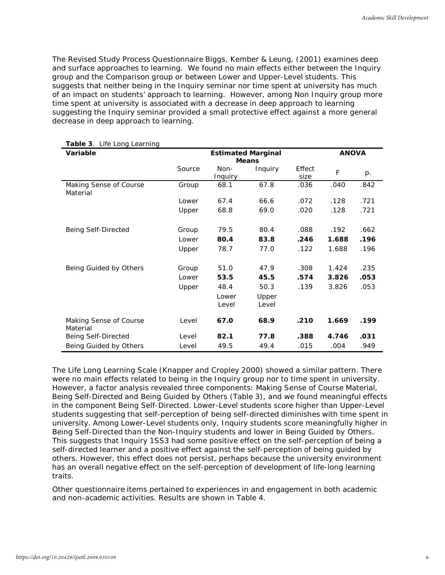The Revised Study Process Questionnaire Biggs, Kember & Leung, (2001) examines deep and surface approaches to learning. We found no main effects either between the Inquiry group and the Comparison group or between Lower and Upper-Level students. This suggests that neither being in the Inquiry seminar nor time spent at university has much of an impact on students' approach to learning. However, among Non Inquiry group more time spent at university is associated with a *decrease* in deep approach to learning suggesting the Inquiry seminar provided a small protective effect against a more general decrease in deep approach to learning.

| Table 3. Life Long Learning        |        |                                           |                |                |             |      |  |
|------------------------------------|--------|-------------------------------------------|----------------|----------------|-------------|------|--|
| Variable                           |        | <b>Estimated Marginal</b><br><b>Means</b> |                |                |             |      |  |
|                                    | Source | Non-<br>Inquiry                           | Inquiry        | Effect<br>size | $\mathsf F$ | p.   |  |
| Making Sense of Course<br>Material | Group  | 68.1                                      | 67.8           | .036           | .040        | .842 |  |
|                                    | Lower  | 67.4                                      | 66.6           | .072           | .128        | .721 |  |
|                                    | Upper  | 68.8                                      | 69.0           | .020           | .128        | .721 |  |
| Being Self-Directed                | Group  | 79.5                                      | 80.4           | .088           | .192        | .662 |  |
|                                    | Lower  | 80.4                                      | 83.8           | .246           | 1.688       | .196 |  |
|                                    | Upper  | 78.7                                      | 77.0           | .122           | 1.688       | .196 |  |
| Being Guided by Others             | Group  | 51.0                                      | 47.9           | .308           | 1.424       | .235 |  |
|                                    | Lower  | 53.5                                      | 45.5           | .574           | 3.826       | .053 |  |
|                                    | Upper  | 48.4                                      | 50.3           | .139           | 3.826       | .053 |  |
|                                    |        | Lower<br>Level                            | Upper<br>Level |                |             |      |  |
| Making Sense of Course<br>Material | Level  | 67.0                                      | 68.9           | .210           | 1.669       | .199 |  |
| Being Self-Directed                | Level  | 82.1                                      | 77.8           | .388           | 4.746       | .031 |  |
| Being Guided by Others             | Level  | 49.5                                      | 49.4           | .015           | .004        | .949 |  |

The Life Long Learning Scale (Knapper and Cropley 2000) showed a similar pattern. There were no main effects related to being in the Inquiry group nor to time spent in university. However, a factor analysis revealed three components: *Making Sense of Course Material*, *Being Self-Directed* and *Being Guided by Others* (Table 3), and we found meaningful effects in the component *Being Self-Directed*. Lower-Level students score higher than Upper-Level students suggesting that self-perception of being self-directed *diminishes* with time spent in university. Among Lower-Level students only, Inquiry students score meaningfully higher in *Being Self-Directed* than the Non-Inquiry students and lower in *Being Guided by Others*. This suggests that Inquiry 1SS3 had some positive effect on the self-perception of being a self-directed learner and a positive effect against the self-perception of being guided by others. However, this effect does not persist, perhaps because the university environment has an overall negative effect on the self-perception of development of life-long learning traits.

Other questionnaire items pertained to experiences in and engagement in both academic and non-academic activities. Results are shown in Table 4.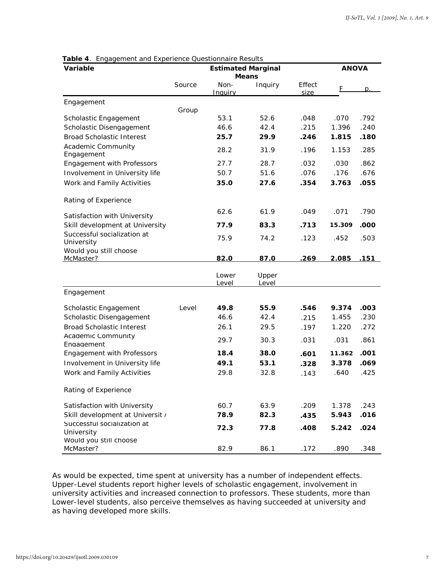| Variable                                  |        | <b>Estimated Marginal</b> | <b>Means</b>   |                | <b>ANOVA</b> |                |  |
|-------------------------------------------|--------|---------------------------|----------------|----------------|--------------|----------------|--|
|                                           | Source | Non-<br>Inauirv           | Inquiry        | Effect<br>size | F            | $\mathsf{D}$ . |  |
| Engagement                                |        |                           |                |                |              |                |  |
| Scholastic Engagement                     | Group  | 53.1                      | 52.6           | .048           | .070         | .792           |  |
| Scholastic Disengagement                  |        | 46.6                      | 42.4           | .215           | 1.396        | .240           |  |
| <b>Broad Scholastic Interest</b>          |        | 25.7                      | 29.9           | .246           | 1.815        | .180           |  |
| <b>Academic Community</b><br>Engagement   |        | 28.2                      | 31.9           | .196           | 1.153        | .285           |  |
| <b>Engagement with Professors</b>         |        | 27.7                      | 28.7           | .032           | .030         | .862           |  |
| Involvement in University life            |        | 50.7                      | 51.6           | .076           | .176         | .676           |  |
| Work and Family Activities                |        | 35.0                      | 27.6           | .354           | 3.763        | .055           |  |
| Rating of Experience                      |        |                           |                |                |              |                |  |
| Satisfaction with University              |        | 62.6                      | 61.9           | .049           | .071         | .790           |  |
| Skill development at University           |        | 77.9                      | 83.3           | .713           | 15.309       | .000           |  |
| Successful socialization at<br>University |        | 75.9                      | 74.2           | .123           | .452         | .503           |  |
| Would you still choose<br>McMaster?       |        | 82.0                      | 87.0           | .269           | 2.085        | .151           |  |
|                                           |        | Lower<br>Level            | Upper<br>Level |                |              |                |  |
| Engagement                                |        |                           |                |                |              |                |  |
| Scholastic Engagement                     | Level  | 49.8                      | 55.9           | .546           | 9.374        | .003           |  |
| Scholastic Disengagement                  |        | 46.6                      | 42.4           | .215           | 1.455        | .230           |  |
| <b>Broad Scholastic Interest</b>          |        | 26.1                      | 29.5           | .197           | 1.220        | .272           |  |
| Academic Community<br>Engagement          |        | 29.7                      | 30.3           | .031           | .031         | .861           |  |
| <b>Engagement with Professors</b>         |        | 18.4                      | 38.0           | .601           | 11.362       | .001           |  |
| Involvement in University life            |        | 49.1                      | 53.1           | .328           | 3.378        | .069           |  |
| Work and Family Activities                |        | 29.8                      | 32.8           | .143           | .640         | .425           |  |
| Rating of Experience                      |        |                           |                |                |              |                |  |
| Satisfaction with University              |        | 60.7                      | 63.9           | .209           | 1.378        | .243           |  |
| Skill development at Universit /          |        | 78.9                      | 82.3           | .435           | 5.943        | .016           |  |
| Successful socialization at<br>University |        | 72.3                      | 77.8           | .408           | 5.242        | .024           |  |
| Would you still choose<br>McMaster?       |        | 82.9                      | 86.1           | .172           | .890         | .348           |  |

**Table 4**. Engagement and Experience Questionnaire Results

As would be expected, time spent at university has a number of independent effects. Upper-Level students report higher levels of scholastic engagement, involvement in university activities and increased connection to professors. These students, more than Lower-level students, also perceive themselves as having succeeded at university and as having developed more skills.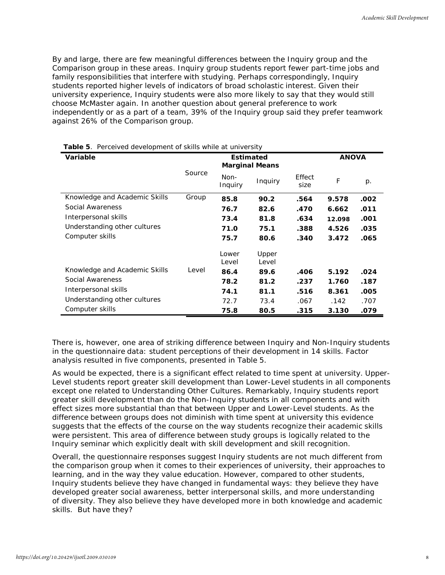By and large, there are few meaningful differences between the Inquiry group and the Comparison group in these areas. Inquiry group students report fewer part-time jobs and family responsibilities that interfere with studying. Perhaps correspondingly, Inquiry students reported higher levels of indicators of broad scholastic interest. Given their university experience, Inquiry students were also more likely to say that they would still choose McMaster again. In another question about general preference to work independently or as a part of a team, 39% of the Inquiry group said they prefer teamwork against 26% of the Comparison group.

| <b>Variable</b>               |        | <b>Estimated</b><br><b>Marginal Means</b> |                |                | <b>ANOVA</b> |      |
|-------------------------------|--------|-------------------------------------------|----------------|----------------|--------------|------|
|                               | Source | Non-<br>Inquiry                           | Inquiry        | Effect<br>size | F            | p.   |
| Knowledge and Academic Skills | Group  | 85.8                                      | 90.2           | .564           | 9.578        | .002 |
| Social Awareness              |        | 76.7                                      | 82.6           | .470           | 6.662        | .011 |
| Interpersonal skills          |        | 73.4                                      | 81.8           | .634           | 12.098       | .001 |
| Understanding other cultures  |        | 71.0                                      | 75.1           | .388           | 4.526        | .035 |
| Computer skills               |        | 75.7                                      | 80.6           | .340           | 3.472        | .065 |
|                               |        | Lower<br>Level                            | Upper<br>Level |                |              |      |
| Knowledge and Academic Skills | Level  | 86.4                                      | 89.6           | .406           | 5.192        | .024 |
| Social Awareness              |        | 78.2                                      | 81.2           | .237           | 1.760        | .187 |
| Interpersonal skills          |        | 74.1                                      | 81.1           | .516           | 8.361        | .005 |
| Understanding other cultures  |        | 72.7                                      | 73.4           | .067           | .142         | .707 |
| Computer skills               |        | 75.8                                      | 80.5           | .315           | 3.130        | .079 |

|  |  | Table 5. Perceived development of skills while at university |  |  |  |
|--|--|--------------------------------------------------------------|--|--|--|
|--|--|--------------------------------------------------------------|--|--|--|

There is, however, one area of striking difference between Inquiry and Non-Inquiry students in the questionnaire data: student perceptions of their development in 14 skills. Factor analysis resulted in five components, presented in Table 5.

As would be expected, there is a significant effect related to time spent at university. Upper-Level students report greater skill development than Lower-Level students in all components except one related to *Understanding Other Cultures*. Remarkably, Inquiry students report greater skill development than do the Non-Inquiry students in all components and with effect sizes more substantial than that between Upper and Lower-Level students. As the difference between groups does not diminish with time spent at university this evidence suggests that the effects of the course on the way students recognize their academic skills were persistent. This area of difference between study groups is logically related to the Inquiry seminar which explicitly dealt with skill development and skill recognition.

Overall, the questionnaire responses suggest Inquiry students are not much different from the comparison group when it comes to their experiences of university, their approaches to learning, and in the way they value education. However, compared to other students, Inquiry students *believe* they have changed in fundamental ways: they believe they have developed greater social awareness, better interpersonal skills, and more understanding of diversity. They also believe they have developed more in both knowledge and academic skills. But have they?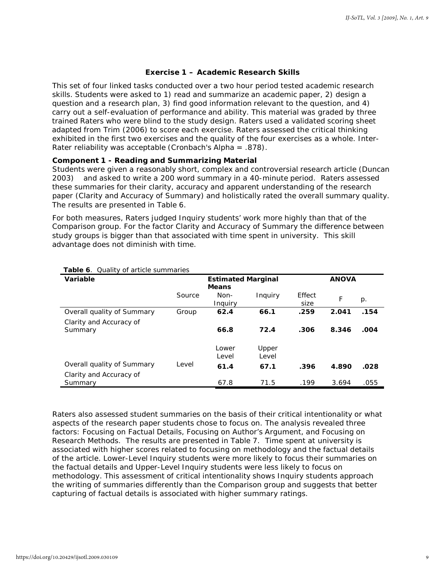## **Exercise 1 – Academic Research Skills**

This set of four linked tasks conducted over a two hour period tested academic research skills. Students were asked to 1) read and summarize an academic paper, 2) design a question and a research plan, 3) find good information relevant to the question, and 4) carry out a self-evaluation of performance and ability. This material was graded by three trained Raters who were blind to the study design. Raters used a validated scoring sheet adapted from Trim (2006) to score each exercise. Raters assessed the critical thinking exhibited in the first two exercises and the quality of the four exercises as a whole. Inter-Rater reliability was acceptable (Cronbach's Alpha = .878).

## **Component 1 - Reading and Summarizing Material**

Students were given a reasonably short, complex and controversial research article (Duncan 2003) and asked to write a 200 word summary in a 40-minute period. Raters assessed these summaries for their clarity, accuracy and apparent understanding of the research paper (*Clarity and Accuracy of Summary*) and holistically rated the overall summary quality. The results are presented in Table 6.

For both measures, Raters judged Inquiry students' work more highly than that of the Comparison group. For the factor *Clarity and Accuracy of Summary* the difference between study groups is bigger than that associated with time spent in university. This skill advantage does not diminish with time.

| Variable                           |        |                 | <b>ANOVA</b>   |                |       |       |
|------------------------------------|--------|-----------------|----------------|----------------|-------|-------|
|                                    | Source | Non-<br>Inguiry | Inquiry        | Effect<br>size | F     | $p$ . |
| Overall quality of Summary         | Group  | 62.4            | 66.1           | .259           | 2.041 | .154  |
| Clarity and Accuracy of<br>Summary |        | 66.8            | 72.4           | .306           | 8.346 | .004  |
|                                    |        | Lower<br>Level  | Upper<br>Level |                |       |       |
| Overall quality of Summary         | Level  | 61.4            | 67.1           | .396           | 4.890 | .028  |
| Clarity and Accuracy of<br>Summary |        | 67.8            | 71.5           | .199           | 3.694 | .055  |

#### **Table 6**. Quality of article summaries

Raters also assessed student summaries on the basis of their *critical intentionality* or what aspects of the research paper students chose to focus on. The analysis revealed three factors: *Focusing on Factual Details*, *Focusing on Author's Argument*, and *Focusing on Research Methods*. The results are presented in Table 7. Time spent at university is associated with higher scores related to focusing on methodology and the factual details of the article. Lower-Level Inquiry students were more likely to focus their summaries on the factual details and Upper-Level Inquiry students were less likely to focus on methodology. This assessment of critical intentionality shows Inquiry students approach the writing of summaries differently than the Comparison group and suggests that better capturing of factual details is associated with higher summary ratings.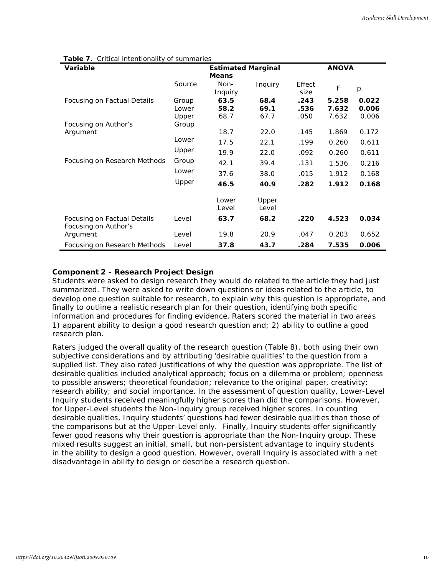| <b>Variable</b>                                     |        | <b>Estimated Marginal</b><br><b>Means</b> |                |                | <b>ANOVA</b> |       |
|-----------------------------------------------------|--------|-------------------------------------------|----------------|----------------|--------------|-------|
|                                                     | Source | Non-<br>Inquiry                           | Inquiry        | Effect<br>size | F            | p.    |
| Focusing on Factual Details                         | Group  | 63.5                                      | 68.4           | .243           | 5.258        | 0.022 |
|                                                     | Lower  | 58.2                                      | 69.1           | .536           | 7.632        | 0.006 |
|                                                     | Upper  | 68.7                                      | 67.7           | .050           | 7.632        | 0.006 |
| Focusing on Author's                                | Group  |                                           |                |                |              |       |
| Argument                                            |        | 18.7                                      | 22.0           | .145           | 1.869        | 0.172 |
|                                                     | Lower  | 17.5                                      | 22.1           | .199           | 0.260        | 0.611 |
|                                                     | Upper  | 19.9                                      | 22.0           | .092           | 0.260        | 0.611 |
| Focusing on Research Methods                        | Group  | 42.1                                      | 39.4           | .131           | 1.536        | 0.216 |
|                                                     | Lower  | 37.6                                      | 38.0           | .015           | 1.912        | 0.168 |
|                                                     | Upper  | 46.5                                      | 40.9           | .282           | 1.912        | 0.168 |
|                                                     |        | Lower<br>Level                            | Upper<br>Level |                |              |       |
| Focusing on Factual Details<br>Focusing on Author's | Level  | 63.7                                      | 68.2           | .220           | 4.523        | 0.034 |
| Argument                                            | Level  | 19.8                                      | 20.9           | .047           | 0.203        | 0.652 |
| Focusing on Research Methods                        | Level  | 37.8                                      | 43.7           | .284           | 7.535        | 0.006 |

#### **Table 7**. Critical intentionality of summaries

## **Component 2 - Research Project Design**

Students were asked to design research they would do related to the article they had just summarized. They were asked to write down questions or ideas related to the article, to develop one question suitable for research, to explain why this question is appropriate, and finally to outline a realistic research plan for their question, identifying both specific information and procedures for finding evidence. Raters scored the material in two areas 1) apparent ability to design a good research question and; 2) ability to outline a good research plan.

Raters judged the overall quality of the research question (Table 8), both using their own subjective considerations and by attributing 'desirable qualities' to the question from a supplied list. They also rated justifications of why the question was appropriate. The list of desirable qualities included analytical approach; focus on a dilemma or problem; openness to possible answers; theoretical foundation; relevance to the original paper, creativity; research ability; and social importance. In the assessment of question quality, Lower-Level Inquiry students received meaningfully higher scores than did the comparisons. However, for Upper-Level students the Non-Inquiry group received higher scores. In counting desirable qualities, Inquiry students' questions had fewer desirable qualities than those of the comparisons but at the Upper-Level only. Finally, Inquiry students offer significantly fewer good reasons why their question is appropriate than the Non-Inquiry group. These mixed results suggest an initial, small, but non-persistent advantage to inquiry students in the ability to design a good question. However, overall Inquiry is associated with a net disadvantage in ability to design or describe a research question.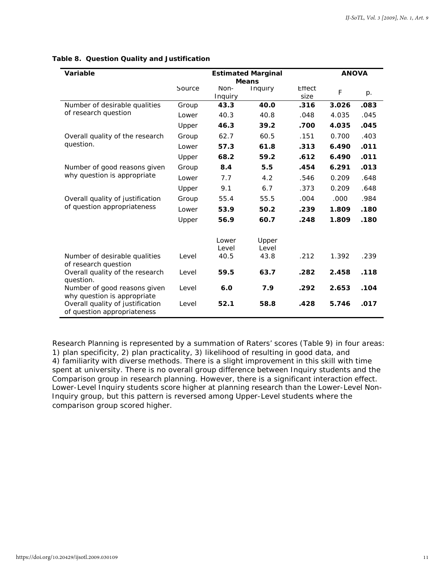| Variable                                                        |        |         | <b>Estimated Marginal</b> | <b>ANOVA</b> |       |      |  |
|-----------------------------------------------------------------|--------|---------|---------------------------|--------------|-------|------|--|
|                                                                 |        |         | <b>Means</b>              |              |       |      |  |
|                                                                 | Source | Non-    | Inquiry                   | Effect       | F     | p.   |  |
|                                                                 |        | Inquiry |                           | size         |       |      |  |
| Number of desirable qualities                                   | Group  | 43.3    | 40.0                      | .316         | 3.026 | .083 |  |
| of research question                                            | Lower  | 40.3    | 40.8                      | .048         | 4.035 | .045 |  |
|                                                                 | Upper  | 46.3    | 39.2                      | .700         | 4.035 | .045 |  |
| Overall quality of the research                                 | Group  | 62.7    | 60.5                      | .151         | 0.700 | .403 |  |
| question.                                                       | Lower  | 57.3    | 61.8                      | .313         | 6.490 | .011 |  |
|                                                                 | Upper  | 68.2    | 59.2                      | .612         | 6.490 | .011 |  |
| Number of good reasons given                                    | Group  | 8.4     | 5.5                       | .454         | 6.291 | .013 |  |
| why question is appropriate                                     | Lower  | 7.7     | 4.2                       | .546         | 0.209 | .648 |  |
|                                                                 | Upper  | 9.1     | 6.7                       | .373         | 0.209 | .648 |  |
| Overall quality of justification                                | Group  | 55.4    | 55.5                      | .004         | .000  | .984 |  |
| of question appropriateness                                     | Lower  | 53.9    | 50.2                      | .239         | 1.809 | .180 |  |
|                                                                 | Upper  | 56.9    | 60.7                      | .248         | 1.809 | .180 |  |
|                                                                 |        | Lower   | Upper                     |              |       |      |  |
|                                                                 |        | Level   | Level                     |              |       |      |  |
| Number of desirable qualities<br>of research question           | Level  | 40.5    | 43.8                      | .212         | 1.392 | .239 |  |
| Overall quality of the research<br>question.                    | Level  | 59.5    | 63.7                      | .282         | 2.458 | .118 |  |
| Number of good reasons given<br>why question is appropriate     | Level  | 6.0     | 7.9                       | .292         | 2.653 | .104 |  |
| Overall quality of justification<br>of question appropriateness | Level  | 52.1    | 58.8                      | .428         | 5.746 | .017 |  |

## **Table 8. Question Quality and Justification**

Research Planning is represented by a summation of Raters' scores (Table 9) in four areas: 1) plan specificity, 2) plan practicality, 3) likelihood of resulting in good data, and 4) familiarity with diverse methods. There is a slight improvement in this skill with time spent at university. There is no overall group difference between Inquiry students and the Comparison group in research planning. However, there is a significant interaction effect. Lower-Level Inquiry students score higher at planning research than the Lower-Level Non-Inquiry group, but this pattern is reversed among Upper-Level students where the comparison group scored higher.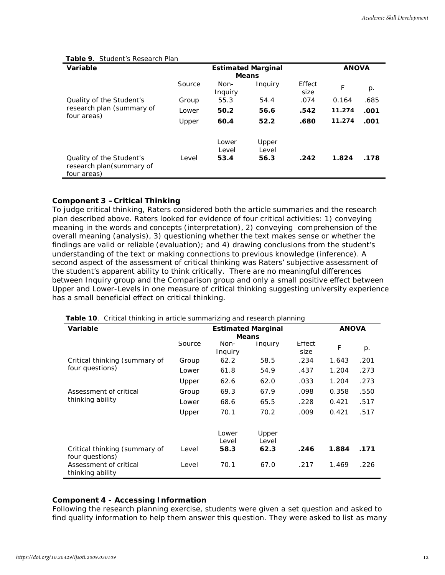| Variable                                                            |        | <b>ANOVA</b>           |                        |                |        |      |
|---------------------------------------------------------------------|--------|------------------------|------------------------|----------------|--------|------|
|                                                                     | Source | Non-<br>Inquiry        | Inquiry                | Effect<br>size | F      | p.   |
| Quality of the Student's                                            | Group  | 55.3                   | 54.4                   | .074           | 0.164  | .685 |
| research plan (summary of                                           | Lower  | 50.2                   | 56.6                   | .542           | 11.274 | .001 |
| four areas)                                                         | Upper  | 60.4                   | 52.2                   | .680           | 11.274 | .001 |
| Quality of the Student's<br>research plan(summary of<br>four areas) | Level  | Lower<br>Level<br>53.4 | Upper<br>Level<br>56.3 | .242           | 1.824  | .178 |

#### **Table 9**. Student's Research Plan

## **Component 3 –Critical Thinking**

To judge critical thinking, Raters considered both the article summaries and the research plan described above. Raters looked for evidence of four critical activities: 1) conveying meaning in the words and concepts (interpretation), 2) conveying comprehension of the overall meaning (analysis), 3) questioning whether the text makes sense or whether the findings are valid or reliable (evaluation); and 4) drawing conclusions from the student's understanding of the text or making connections to previous knowledge (inference). A second aspect of the assessment of critical thinking was Raters' subjective assessment of the student's apparent ability to *think critically*. There are no meaningful differences between Inquiry group and the Comparison group and only a small positive effect between Upper and Lower-Levels in one measure of critical thinking suggesting university experience has a small beneficial effect on critical thinking.

| Variable                                   |        |         | <b>Estimated Marginal</b> |        | <b>ANOVA</b> |             |  |  |
|--------------------------------------------|--------|---------|---------------------------|--------|--------------|-------------|--|--|
|                                            |        |         | <b>Means</b>              |        |              |             |  |  |
|                                            | Source | Non-    | Inquiry                   | Effect | F            | $p_{\cdot}$ |  |  |
|                                            |        | Inquiry |                           | size   |              |             |  |  |
| Critical thinking (summary of              | Group  | 62.2    | 58.5                      | .234   | 1.643        | .201        |  |  |
| four questions)                            | Lower  | 61.8    | 54.9                      | .437   | 1.204        | .273        |  |  |
|                                            | Upper  | 62.6    | 62.0                      | .033   | 1.204        | .273        |  |  |
| Assessment of critical                     | Group  | 69.3    | 67.9                      | .098   | 0.358        | .550        |  |  |
| thinking ability                           | Lower  | 68.6    | 65.5                      | .228   | 0.421        | .517        |  |  |
|                                            | Upper  | 70.1    | 70.2                      | .009   | 0.421        | .517        |  |  |
|                                            |        | Lower   | Upper                     |        |              |             |  |  |
|                                            |        | Level   | Level                     |        |              |             |  |  |
| Critical thinking (summary of              | Level  | 58.3    | 62.3                      | .246   | 1.884        | .171        |  |  |
| four questions)                            |        |         |                           |        |              |             |  |  |
| Assessment of critical<br>thinking ability | Level  | 70.1    | 67.0                      | .217   | 1.469        | .226        |  |  |

**Table 10**. Critical thinking in article summarizing and research planning

## **Component 4 - Accessing Information**

Following the research planning exercise, students were given a set question and asked to find quality information to help them answer this question. They were asked to list as many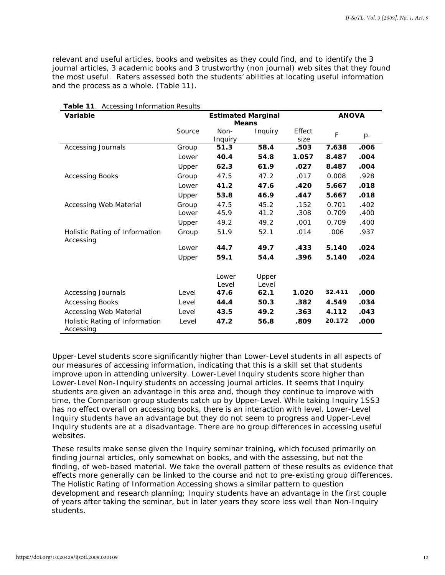relevant and useful articles, books and websites as they could find, and to identify the 3 journal articles, 3 academic books and 3 trustworthy (non journal) web sites that they found the most useful. Raters assessed both the students' abilities at locating useful information and the process as a whole. (Table 11).

| Variable                                    |        | <b>Estimated Marginal</b> |                |        | <b>ANOVA</b> |      |  |
|---------------------------------------------|--------|---------------------------|----------------|--------|--------------|------|--|
|                                             |        | <b>Means</b>              |                |        |              |      |  |
|                                             | Source | Non-                      | Inquiry        | Effect | F            | p.   |  |
|                                             |        | Inquiry                   |                | size   |              |      |  |
| <b>Accessing Journals</b>                   | Group  | 51.3                      | 58.4           | .503   | 7.638        | .006 |  |
|                                             | Lower  | 40.4                      | 54.8           | 1.057  | 8.487        | .004 |  |
|                                             | Upper  | 62.3                      | 61.9           | .027   | 8.487        | .004 |  |
| <b>Accessing Books</b>                      | Group  | 47.5                      | 47.2           | .017   | 0.008        | .928 |  |
|                                             | Lower  | 41.2                      | 47.6           | .420   | 5.667        | .018 |  |
|                                             | Upper  | 53.8                      | 46.9           | .447   | 5.667        | .018 |  |
| Accessing Web Material                      | Group  | 47.5                      | 45.2           | .152   | 0.701        | .402 |  |
|                                             | Lower  | 45.9                      | 41.2           | .308   | 0.709        | .400 |  |
|                                             | Upper  | 49.2                      | 49.2           | .001   | 0.709        | .400 |  |
| Holistic Rating of Information<br>Accessing | Group  | 51.9                      | 52.1           | .014   | .006         | .937 |  |
|                                             | Lower  | 44.7                      | 49.7           | .433   | 5.140        | .024 |  |
|                                             | Upper  | 59.1                      | 54.4           | .396   | 5.140        | .024 |  |
|                                             |        | Lower<br>Level            | Upper<br>Level |        |              |      |  |
| <b>Accessing Journals</b>                   | Level  | 47.6                      | 62.1           | 1.020  | 32.411       | .000 |  |
| <b>Accessing Books</b>                      | Level  | 44.4                      | 50.3           | .382   | 4.549        | .034 |  |
| Accessing Web Material                      | Level  | 43.5                      | 49.2           | .363   | 4.112        | .043 |  |
| Holistic Rating of Information<br>Accessing | Level  | 47.2                      | 56.8           | .809   | 20.172       | .000 |  |

**Table 11**. Accessing Information Results

Upper-Level students score significantly higher than Lower-Level students in all aspects of our measures of accessing information, indicating that this is a skill set that students improve upon in attending university. Lower-Level Inquiry students score higher than Lower-Level Non-Inquiry students on *accessing journal articles*. It seems that Inquiry students are given an advantage in this area and, though they continue to improve with time, the Comparison group students catch up by Upper-Level. While taking Inquiry 1SS3 has no effect overall on *accessing books*, there is an interaction with level. Lower-Level Inquiry students have an advantage but they do not seem to progress and Upper-Level Inquiry students are at a disadvantage. There are no group differences in *accessing useful websites.*

These results make sense given the Inquiry seminar training, which focused primarily on finding journal articles, only somewhat on books, and with the assessing, but not the finding, of web-based material. We take the overall pattern of these results as evidence that effects more generally can be linked to the course and not to pre-existing group differences. The Holistic Rating of Information Accessing shows a similar pattern to question development and research planning; Inquiry students have an advantage in the first couple of years after taking the seminar, but in later years they score less well than Non-Inquiry students.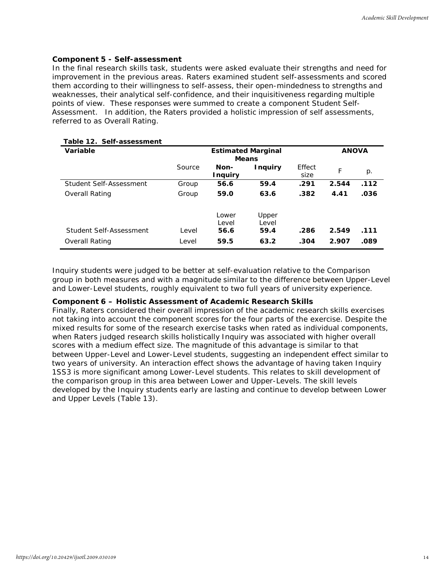#### **Component 5 - Self-assessment**

In the final research skills task, students were asked evaluate their strengths and need for improvement in the previous areas. Raters examined student self-assessments and scored them according to their willingness to self-assess, their open-mindedness to strengths and weaknesses, their analytical self-confidence, and their inquisitiveness regarding multiple points of view. These responses were summed to create a component *Student Self-Assessment*. In addition, the Raters provided a holistic impression of self assessments, referred to as *Overall Rating*.

| Variable                |        | <b>Estimated Marginal</b><br><b>Means</b> |                |                | <b>ANOVA</b> |       |  |
|-------------------------|--------|-------------------------------------------|----------------|----------------|--------------|-------|--|
|                         | Source | Non-<br><b>Inquiry</b>                    | <b>Inquiry</b> | Effect<br>size | F            | $p$ . |  |
| Student Self-Assessment | Group  | 56.6                                      | 59.4           | .291           | 2.544        | .112  |  |
| Overall Rating          | Group  | 59.0                                      | 63.6           | .382           | 4.41         | .036  |  |
|                         |        | Lower<br>Level                            | Upper<br>Level |                |              |       |  |
| Student Self-Assessment | Level  | 56.6                                      | 59.4           | .286           | 2.549        | .111  |  |
| Overall Rating          | Level  | 59.5                                      | 63.2           | .304           | 2.907        | .089  |  |

## **Table 12. Self-assessment**

Inquiry students were judged to be better at self-evaluation relative to the Comparison group in both measures and with a magnitude similar to the difference between Upper-Level and Lower-Level students, roughly equivalent to two full years of university experience.

#### **Component 6 – Holistic Assessment of Academic Research Skills**

Finally, Raters considered their overall impression of the academic research skills exercises not taking into account the component scores for the four parts of the exercise. Despite the mixed results for some of the research exercise tasks when rated as individual components, when Raters judged research skills holistically Inquiry was associated with higher overall scores with a medium effect size. The magnitude of this advantage is similar to that between Upper-Level and Lower-Level students, suggesting an independent effect similar to two years of university. An interaction effect shows the advantage of having taken Inquiry 1SS3 is more significant among Lower-Level students. This relates to skill development of the comparison group in this area between Lower and Upper-Levels. The skill levels developed by the Inquiry students early are lasting and continue to develop between Lower and Upper Levels (Table 13).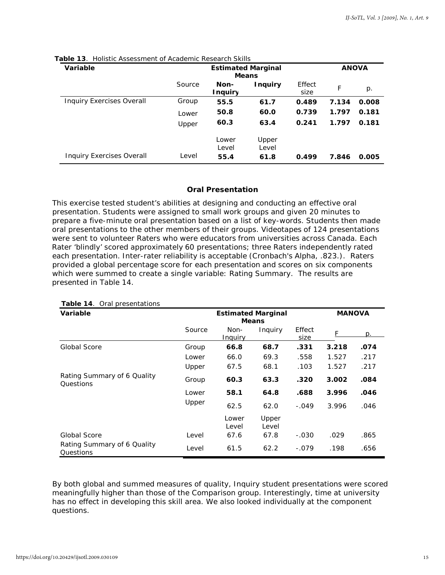| <b>Variable</b>                  |        | <b>Estimated Marginal</b><br><b>Means</b> |                |                |       | <b>ANOVA</b> |  |
|----------------------------------|--------|-------------------------------------------|----------------|----------------|-------|--------------|--|
|                                  | Source | Non-<br><b>Inquiry</b>                    | <b>Inquiry</b> | Effect<br>size | F     | $p$ .        |  |
| <b>Inquiry Exercises Overall</b> | Group  | 55.5                                      | 61.7           | 0.489          | 7.134 | 0.008        |  |
|                                  | Lower  | 50.8                                      | 60.0           | 0.739          | 1.797 | 0.181        |  |
|                                  | Upper  | 60.3                                      | 63.4           | 0.241          | 1.797 | 0.181        |  |
|                                  |        | Lower                                     | Upper          |                |       |              |  |
|                                  |        | Level                                     | Level          |                |       |              |  |
| <b>Inquiry Exercises Overall</b> | Level  | 55.4                                      | 61.8           | 0.499          | 7.846 | 0.005        |  |

**Table 13**. Holistic Assessment of Academic Research Skills

## **Oral Presentation**

This exercise tested student's abilities at designing and conducting an effective oral presentation. Students were assigned to small work groups and given 20 minutes to prepare a five-minute oral presentation based on a list of key-words. Students then made oral presentations to the other members of their groups. Videotapes of 124 presentations were sent to volunteer Raters who were educators from universities across Canada. Each Rater 'blindly' scored approximately 60 presentations; three Raters independently rated each presentation. Inter-rater reliability is acceptable (Cronbach's Alpha, .823.). Raters provided a global percentage score for each presentation and scores on six components which were summed to create a single variable: *Rating Summary.* The results are presented in Table 14.

| Variable                                 | <b>Estimated Marginal</b><br><b>Means</b> |                 |                | <b>MANOVA</b>  |       |      |
|------------------------------------------|-------------------------------------------|-----------------|----------------|----------------|-------|------|
|                                          | Source                                    | Non-<br>Inquiry | Inquiry        | Effect<br>size | F     | p.   |
| <b>Global Score</b>                      | Group                                     | 66.8            | 68.7           | .331           | 3.218 | .074 |
|                                          | Lower                                     | 66.0            | 69.3           | .558           | 1.527 | .217 |
|                                          | Upper                                     | 67.5            | 68.1           | .103           | 1.527 | .217 |
| Rating Summary of 6 Quality<br>Questions | Group                                     | 60.3            | 63.3           | .320           | 3.002 | .084 |
|                                          | Lower                                     | 58.1            | 64.8           | .688           | 3.996 | .046 |
|                                          | Upper                                     | 62.5            | 62.0           | $-.049$        | 3.996 | .046 |
|                                          |                                           | Lower<br>Level  | Upper<br>Level |                |       |      |
| <b>Global Score</b>                      | Level                                     | 67.6            | 67.8           | $-.030$        | .029  | .865 |
| Rating Summary of 6 Quality<br>Questions | Level                                     | 61.5            | 62.2           | $-.079$        | .198  | .656 |

**Table 14** Oral presentations

By both global and summed measures of quality, Inquiry student presentations were scored meaningfully higher than those of the Comparison group. Interestingly, time at university has no effect in developing this skill area. We also looked individually at the component questions.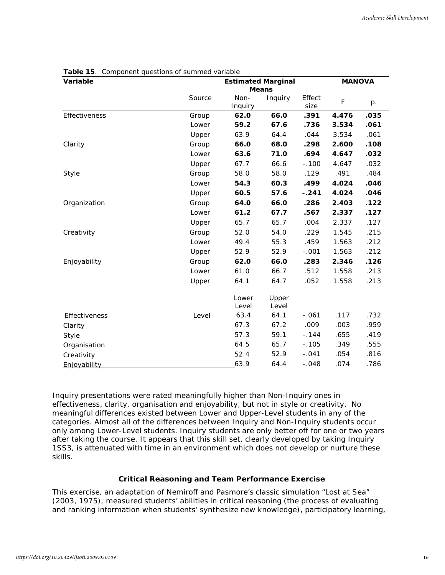| Variable      | <b>Estimated Marginal</b><br><b>Means</b> |                 |                |                | <b>MANOVA</b> |      |
|---------------|-------------------------------------------|-----------------|----------------|----------------|---------------|------|
|               | Source                                    | Non-<br>Inquiry | Inquiry        | Effect<br>size | $\mathsf F$   | p.   |
| Effectiveness | Group                                     | 62.0            | 66.0           | .391           | 4.476         | .035 |
|               | Lower                                     | 59.2            | 67.6           | .736           | 3.534         | .061 |
|               | Upper                                     | 63.9            | 64.4           | .044           | 3.534         | .061 |
| Clarity       | Group                                     | 66.0            | 68.0           | .298           | 2.600         | .108 |
|               | Lower                                     | 63.6            | 71.0           | .694           | 4.647         | .032 |
|               | Upper                                     | 67.7            | 66.6           | $-.100$        | 4.647         | .032 |
| Style         | Group                                     | 58.0            | 58.0           | .129           | .491          | .484 |
|               | Lower                                     | 54.3            | 60.3           | .499           | 4.024         | .046 |
|               | Upper                                     | 60.5            | 57.6           | $-.241$        | 4.024         | .046 |
| Organization  | Group                                     | 64.0            | 66.0           | .286           | 2.403         | .122 |
|               | Lower                                     | 61.2            | 67.7           | .567           | 2.337         | .127 |
|               | Upper                                     | 65.7            | 65.7           | .004           | 2.337         | .127 |
| Creativity    | Group                                     | 52.0            | 54.0           | .229           | 1.545         | .215 |
|               | Lower                                     | 49.4            | 55.3           | .459           | 1.563         | .212 |
|               | Upper                                     | 52.9            | 52.9           | $-.001$        | 1.563         | .212 |
| Enjoyability  | Group                                     | 62.0            | 66.0           | .283           | 2.346         | .126 |
|               | Lower                                     | 61.0            | 66.7           | .512           | 1.558         | .213 |
|               | Upper                                     | 64.1            | 64.7           | .052           | 1.558         | .213 |
|               |                                           | Lower<br>Level  | Upper<br>Level |                |               |      |
| Effectiveness | Level                                     | 63.4            | 64.1           | $-.061$        | .117          | .732 |
| Clarity       |                                           | 67.3            | 67.2           | .009           | .003          | .959 |
| Style         |                                           | 57.3            | 59.1           | $-.144$        | .655          | .419 |
| Organisation  |                                           | 64.5            | 65.7           | $-.105$        | .349          | .555 |
| Creativity    |                                           | 52.4            | 52.9           | $-.041$        | .054          | .816 |
| Enjoyability  |                                           | 63.9            | 64.4           | $-.048$        | .074          | .786 |

**Table 15**. Component questions of summed variable

Inquiry presentations were rated meaningfully higher than Non-Inquiry ones in effectiveness, clarity, organisation and enjoyability, but not in style or creativity. No meaningful differences existed between Lower and Upper-Level students in any of the categories. Almost all of the differences between Inquiry and Non-Inquiry students occur only among Lower-Level students. Inquiry students are only better off for one or two years after taking the course. It appears that this skill set, clearly developed by taking Inquiry 1SS3, is attenuated with time in an environment which does not develop or nurture these skills.

## **Critical Reasoning and Team Performance Exercise**

This exercise, an adaptation of Nemiroff and Pasmore's classic simulation "Lost at Sea" (2003, 1975), measured students' abilities in critical reasoning (the process of evaluating and ranking information when students' synthesize new knowledge), participatory learning,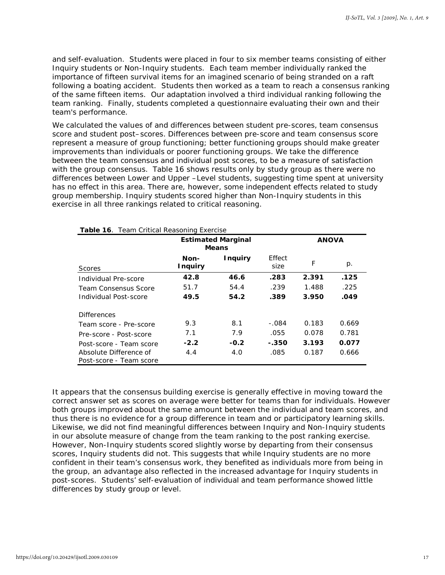and self-evaluation. Students were placed in four to six member teams consisting of either Inquiry students or Non-Inquiry students. Each team member individually ranked the importance of fifteen survival items for an imagined scenario of being stranded on a raft following a boating accident. Students then worked as a team to reach a consensus ranking of the same fifteen items. Our adaptation involved a third individual ranking following the team ranking. Finally, students completed a questionnaire evaluating their own and their team's performance.

We calculated the values of and differences between student pre-scores, team consensus score and student post–scores. Differences between pre-score and team consensus score represent a measure of group functioning; better functioning groups should make greater improvements than individuals or poorer functioning groups. We take the difference between the team consensus and individual post scores, to be a measure of satisfaction with the group consensus. Table 16 shows results only by study group as there were no differences between Lower and Upper –Level students, suggesting time spent at university has no effect in this area. There are, however, some independent effects related to study group membership. Inquiry students scored higher than Non-Inquiry students in this exercise in all three rankings related to critical reasoning.

|                                                   | <b>Estimated Marginal</b><br><b>Means</b> | <b>ANOVA</b>   |                |       |       |
|---------------------------------------------------|-------------------------------------------|----------------|----------------|-------|-------|
| <b>Scores</b>                                     | Non-<br><b>Inquiry</b>                    | <b>Inquiry</b> | Effect<br>size | F     | p.    |
| Individual Pre-score                              | 42.8                                      | 46.6           | .283           | 2.391 | .125  |
| <b>Team Consensus Score</b>                       | 51.7                                      | 54.4           | .239           | 1.488 | .225  |
| Individual Post-score                             | 49.5                                      | 54.2           | .389           | 3.950 | .049  |
| <b>Differences</b>                                |                                           |                |                |       |       |
| Team score - Pre-score                            | 9.3                                       | 8.1            | $-.084$        | 0.183 | 0.669 |
| Pre-score - Post-score                            | 7.1                                       | 7.9            | .055           | 0.078 | 0.781 |
| Post-score - Team score                           | $-2.2$                                    | $-0.2$         | - 350          | 3.193 | 0.077 |
| Absolute Difference of<br>Post-score - Team score | 4.4                                       | 4.0            | .085           | 0.187 | 0.666 |

**Table 16**. Team Critical Reasoning Exercise

It appears that the consensus building exercise is generally effective in moving toward the correct answer set as scores on average were better for teams than for individuals. However both groups improved about the same amount between the individual and team scores, and thus there is no evidence for a group difference in team and or participatory learning skills. Likewise, we did not find meaningful differences between Inquiry and Non-Inquiry students in our absolute measure of change from the team ranking to the post ranking exercise. However, Non-Inquiry students scored slightly worse by departing from their consensus scores, Inquiry students did not. This suggests that while Inquiry students are no more confident in their team's consensus work, they benefited as individuals more from being in the group, an advantage also reflected in the increased advantage for Inquiry students in post-scores. Students' self-evaluation of individual and team performance showed little differences by study group or level.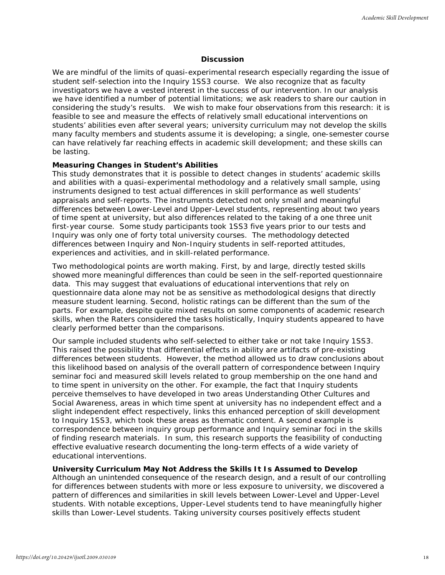#### **Discussion**

We are mindful of the limits of quasi-experimental research especially regarding the issue of student self-selection into the Inquiry 1SS3 course. We also recognize that as faculty investigators we have a vested interest in the success of our intervention. In our analysis we have identified a number of potential limitations; we ask readers to share our caution in considering the study's results. We wish to make four observations from this research: it is feasible to see and measure the effects of relatively small educational interventions on students' abilities even after several years; university curriculum may not develop the skills many faculty members and students assume it is developing; a single, one-semester course can have relatively far reaching effects in academic skill development; and these skills can be lasting.

#### **Measuring Changes in Student's Abilities**

This study demonstrates that it is possible to detect changes in students' academic skills and abilities with a quasi-experimental methodology and a relatively small sample, using instruments designed to test actual differences in skill performance as well students' appraisals and self-reports. The instruments detected not only small and meaningful differences between Lower-Level and Upper-Level students, representing about two years of time spent at university, but also differences related to the taking of a one three unit first-year course. Some study participants took 1SS3 five years prior to our tests and Inquiry was only one of forty total university courses. The methodology detected differences between Inquiry and Non-Inquiry students in self-reported attitudes, experiences and activities, and in skill-related performance.

Two methodological points are worth making. First, by and large, directly tested skills showed more meaningful differences than could be seen in the self-reported questionnaire data. This may suggest that evaluations of educational interventions that rely on questionnaire data alone may not be as sensitive as methodological designs that directly measure student learning. Second, holistic ratings can be different than the sum of the parts. For example, despite quite mixed results on some components of academic research skills, when the Raters considered the tasks holistically, Inquiry students appeared to have clearly performed better than the comparisons.

Our sample included students who self-selected to either take or not take Inquiry 1SS3. This raised the possibility that differential effects in ability are artifacts of pre-existing differences between students. However, the method allowed us to draw conclusions about this likelihood based on analysis of the overall pattern of correspondence between Inquiry seminar foci and measured skill levels related to group membership on the one hand and to time spent in university on the other. For example, the fact that Inquiry students perceive themselves to have developed in two areas *Understanding Other Cultures* and *Social Awareness*, areas in which time spent at university has no independent effect and a slight independent effect respectively, links this enhanced perception of skill development to Inquiry 1SS3, which took these areas as thematic content. A second example is correspondence between inquiry group performance and Inquiry seminar foci in the skills of finding research materials. In sum, this research supports the feasibility of conducting effective evaluative research documenting the long-term effects of a wide variety of educational interventions.

#### **University Curriculum May Not Address the Skills It Is Assumed to Develop**

Although an unintended consequence of the research design, and a result of our controlling for differences between students with more or less exposure to university, we discovered a pattern of differences and similarities in skill levels between Lower-Level and Upper-Level students. With notable exceptions, Upper-Level students tend to have meaningfully higher skills than Lower-Level students. Taking university courses positively effects student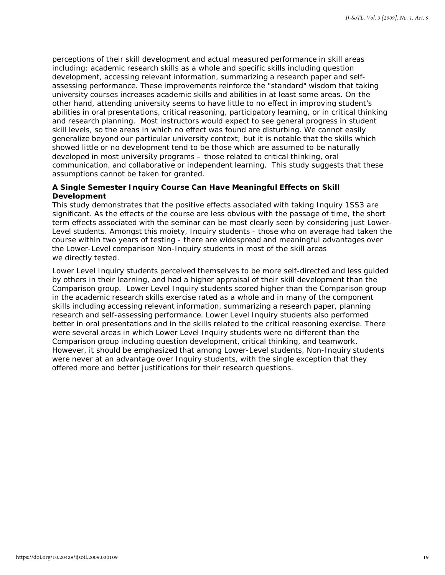perceptions of their skill development and actual measured performance in skill areas including: academic research skills as a whole and specific skills including question development, accessing relevant information, summarizing a research paper and selfassessing performance. These improvements reinforce the "standard" wisdom that taking university courses increases academic skills and abilities in at least some areas. On the other hand, attending university seems to have little to no effect in improving student's abilities in oral presentations, critical reasoning, participatory learning, or in critical thinking and research planning. Most instructors would expect to see general progress in student skill levels, so the areas in which no effect was found are disturbing. We cannot easily generalize beyond our particular university context; but it is notable that the skills which showed little or no development tend to be those which are assumed to be *naturally*  developed in most university programs – those related to critical thinking, oral communication, and collaborative or independent learning. This study suggests that these assumptions cannot be taken for granted.

## **A Single Semester Inquiry Course Can Have Meaningful Effects on Skill Development**

This study demonstrates that the positive effects associated with taking Inquiry 1SS3 are significant. As the effects of the course are less obvious with the passage of time, the short term effects associated with the seminar can be most clearly seen by considering just Lower-Level students. Amongst this moiety, Inquiry students - those who on average had taken the course within two years of testing - there are widespread and meaningful advantages over the Lower-Level comparison Non-Inquiry students in most of the skill areas we directly tested.

Lower Level Inquiry students perceived themselves to be more self-directed and less guided by others in their learning, and had a higher appraisal of their skill development than the Comparison group. Lower Level Inquiry students scored higher than the Comparison group in the academic research skills exercise rated as a whole and in many of the component skills including accessing relevant information, summarizing a research paper, planning research and self-assessing performance. Lower Level Inquiry students also performed better in oral presentations and in the skills related to the critical reasoning exercise. There were several areas in which Lower Level Inquiry students were no different than the Comparison group including question development, critical thinking, and teamwork. However, it should be emphasized that among Lower-Level students, Non-Inquiry students were never at an advantage over Inquiry students, with the single exception that they offered more and better justifications for their research questions.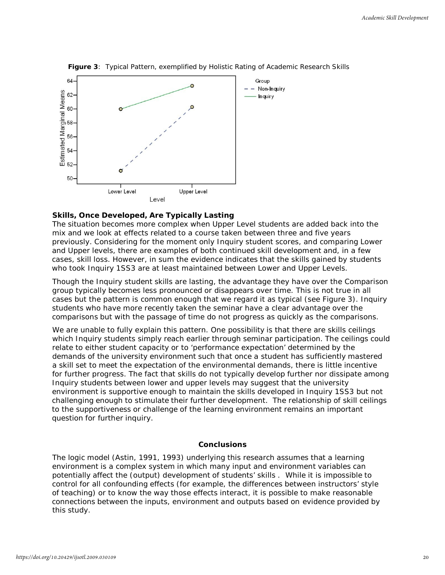

**Figure 3**: Typical Pattern, exemplified by Holistic Rating of Academic Research Skills

## **Skills, Once Developed, Are Typically Lasting**

The situation becomes more complex when Upper Level students are added back into the mix and we look at effects related to a course taken between three and five years previously. Considering for the moment only Inquiry student scores, and comparing Lower and Upper levels, there are examples of both continued skill development and, in a few cases, skill loss. However, in sum the evidence indicates that the skills gained by students who took Inquiry 1SS3 are at least maintained between Lower and Upper Levels.

Though the Inquiry student skills are lasting, the *advantage* they have over the Comparison group typically becomes less pronounced or disappears over time. This is not true in all cases but the pattern is common enough that we regard it as typical (see Figure 3). Inquiry students who have more recently taken the seminar have a clear advantage over the comparisons but with the passage of time do not progress as quickly as the comparisons.

We are unable to fully explain this pattern. One possibility is that there are skills ceilings which Inquiry students simply reach earlier through seminar participation. The ceilings could relate to either student capacity or to 'performance expectation' determined by the demands of the university environment such that once a student has sufficiently mastered a skill set to meet the expectation of the environmental demands, there is little incentive for further progress. The fact that skills do not typically develop further nor dissipate among Inquiry students between lower and upper levels may suggest that the university environment is supportive enough to maintain the skills developed in Inquiry 1SS3 but not challenging enough to stimulate their further development. The relationship of skill ceilings to the supportiveness or challenge of the learning environment remains an important question for further inquiry.

#### **Conclusions**

The logic model (Astin, 1991, 1993) underlying this research assumes that a learning environment is a *complex* system in which many input and environment variables can potentially affect the (output) development of students' skills . While it is impossible to control for all confounding effects (for example, the differences between instructors' style of teaching) or to know the way those effects interact, it is possible to make reasonable connections between the inputs, environment and outputs based on evidence provided by this study.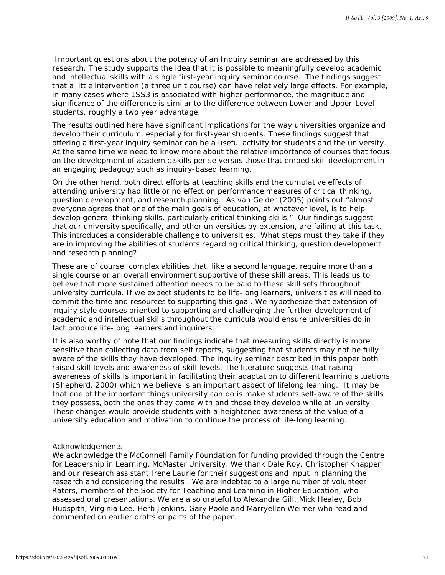Important questions about the potency of an Inquiry seminar are addressed by this research. The study supports the idea that it is possible to meaningfully develop academic and intellectual skills with a single first-year inquiry seminar course. The findings suggest that a little intervention (a three unit course) can have relatively large effects. For example, in many cases where 1SS3 is associated with higher performance, the magnitude and significance of the difference is similar to the difference between Lower and Upper-Level students, roughly a two year advantage.

The results outlined here have significant implications for the way universities organize and develop their curriculum, especially for first-year students. These findings suggest that offering a first-year inquiry seminar can be a useful activity for students and the university. At the same time we need to know more about the relative importance of courses that focus on the development of academic skills *per se* versus those that embed skill development in an engaging pedagogy such as inquiry-based learning.

On the other hand, both direct efforts at teaching skills and the cumulative effects of attending university had little or no effect on performance measures of *critical thinking*, *question development*, and *research planning.* As van Gelder (2005) points out "almost everyone agrees that one of the main goals of education, at whatever level, is to help develop general thinking skills, particularly critical thinking skills." Our findings suggest that our university specifically, and other universities by extension, are failing at this task. This introduces a considerable challenge to universities. What steps must they take if they are in improving the abilities of students regarding critical thinking, question development and research planning?

These are of course, complex abilities that, like a second language, require more than a single course or an overall environment supportive of these skill areas. This leads us to believe that more sustained attention needs to be paid to these skill sets throughout university curricula. If we expect students to be life-long learners, universities will need to commit the time and resources to supporting this goal. We hypothesize that extension of inquiry style courses oriented to supporting and challenging the further development of academic and intellectual skills throughout the curricula would ensure universities do in fact produce life-long learners and inquirers.

It is also worthy of note that our findings indicate that measuring skills directly is more sensitive than collecting data from self reports, suggesting that students may not be fully aware of the skills they have developed. The inquiry seminar described in this paper both raised skill levels and awareness of skill levels. The literature suggests that raising awareness of skills is important in facilitating their adaptation to different learning situations (Shepherd, 2000) which we believe is an important aspect of lifelong learning. It may be that one of the important things university can do is make students self-aware of the skills they possess, both the ones they come with and those they develop while at university. These changes would provide students with a heightened awareness of the value of a university education and motivation to continue the process of life-long learning.

#### *Acknowledgements*

We acknowledge the McConnell Family Foundation for funding provided through the Centre for Leadership in Learning, McMaster University. We thank Dale Roy, Christopher Knapper and our research assistant Irene Laurie for their suggestions and input in planning the research and considering the results . We are indebted to a large number of volunteer Raters, members of the Society for Teaching and Learning in Higher Education, who assessed oral presentations. We are also grateful to Alexandra Gill, Mick Healey, Bob Hudspith, Virginia Lee, Herb Jenkins, Gary Poole and Marryellen Weimer who read and commented on earlier drafts or parts of the paper.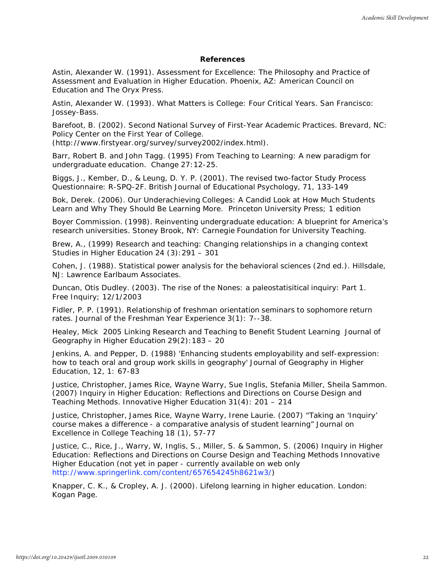### **References**

Astin, Alexander W. (1991). *Assessment for Excellence: The Philosophy and Practice of Assessment and Evaluation in Higher Education*. Phoenix, AZ: American Council on Education and The Oryx Press.

Astin, Alexander W. (1993). *What Matters is College: Four Critical Years.* San Francisco: Jossey-Bass.

Barefoot, B. (2002). *Second National Survey of First-Year Academic Practices*. Brevard, NC: Policy Center on the First Year of College.

[\(http://www.firstyear.org/survey/survey2002/index.html\).](http://www.firstyear.org/survey/survey2002/index.html))

Barr, Robert B. and John Tagg. (1995) From Teaching to Learning: A new paradigm for undergraduate education. *Change* 27:12-25.

Biggs, J., Kember, D., & Leung, D. Y. P. (2001). The revised two-factor Study Process Questionnaire: R-SPQ-2F. *British Journal of Educational Psychology*, 71, 133-149

Bok, Derek. (2006). *Our Underachieving Colleges: A Candid Look at How Much Students Learn and Why They Should Be Learning More.* Princeton University Press; 1 edition

Boyer Commission. (1998). *Reinventing undergraduate education: A blueprint for America's research universities.* Stoney Brook, NY: Carnegie Foundation for University Teaching.

Brew, A., (1999) Research and teaching: Changing relationships in a changing context *Studies in Higher Education* 24 (3):291 – 301

Cohen, J. (1988). *Statistical power analysis for the behavioral sciences* (2nd ed.). Hillsdale, NJ: Lawrence Earlbaum Associates.

Duncan, Otis Dudley. (2003). *The rise of the Nones: a paleostatisitical inquiry: Part 1*. Free Inquiry; 12/1/2003

Fidler, P. P. (1991). Relationship of freshman orientation seminars to sophomore return rates. *Journal of the Freshman Year Experience* 3(1): 7--38.

Healey, Mick 2005 Linking Research and Teaching to Benefit Student Learning *Journal of Geography in Higher Education* 29(2):183 – 20

Jenkins, A. and Pepper, D. (1988) 'Enhancing students employability and self-expression: how to teach oral and group work skills in geography' Journal of Geography in Higher Education, 12, 1: 67-83

Justice, Christopher, James Rice, Wayne Warry, Sue Inglis, Stefania Miller, Sheila Sammon. (2007) Inquiry in Higher Education: Reflections and Directions on Course Design and Teaching Methods. *Innovative Higher Education* 31(4): 201 – 214

Justice, Christopher, James Rice, Wayne Warry, Irene Laurie. (2007) "Taking an 'Inquiry' course makes a difference - a comparative analysis of student learning" *Journal on Excellence in College Teaching* 18 (1), 57-77

Justice, C., Rice, J., Warry, W, Inglis, S., Miller, S. & Sammon, S. (2006) Inquiry in Higher Education: Reflections and Directions on Course Design and Teaching Methods Innovative Higher Education (not yet in paper - currently available on web only [http://www.springerlink.com/content/657654245h8621w3/\)](http://www.springerlink.com/content/657654245h8621w3/))

Knapper, C. K., & Cropley, A. J. (2000). *Lifelong learning in higher education.* London: Kogan Page.